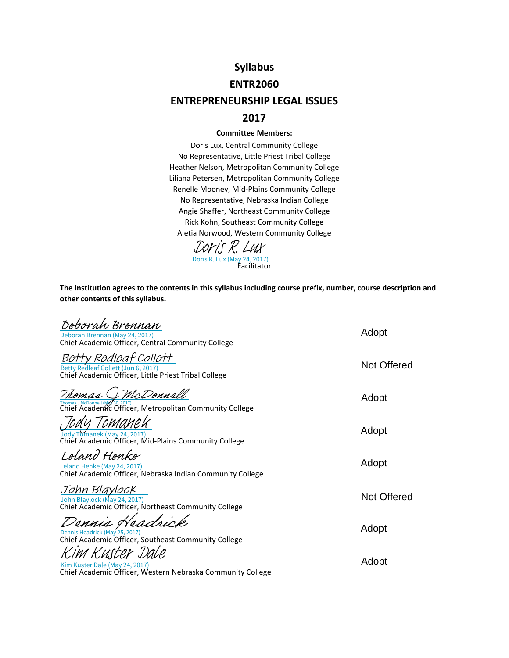# **Syllabus**

## **ENTR2060**

# **ENTREPRENEURSHIP LEGAL ISSUES**

# **2017**

#### **Committee Members:**

Doris Lux, Central Community College No Representative, Little Priest Tribal College Heather Nelson, Metropolitan Community College Liliana Petersen, Metropolitan Community College Renelle Mooney, Mid‐Plains Community College No Representative, Nebraska Indian College Angie Shaffer, Northeast Community College Rick Kohn, Southeast Community College Aletia Norwood, Western Community College



**The Institution agrees to the contents in this syllabus including course prefix, number, course description and other contents of this syllabus.**

| Deborah Brennan<br>Deborah Brennan (May 24, 2017)                                                                    | Adopt              |
|----------------------------------------------------------------------------------------------------------------------|--------------------|
| Chief Academic Officer, Central Community College                                                                    |                    |
| Betty Redleaf Collett<br>Betty Redleaf Collett (Jun 6, 2017)<br>Chief Academic Officer, Little Priest Tribal College | Not Offered        |
| McDonnell<br>Chief Academic Officer, Metropolitan Community College                                                  | Adopt              |
| Jody Tomanek (May 24, 2017)<br>Chief Academic Officer, Mid-Plains Community College                                  | Adopt              |
| 'eland Henke<br>Leland Henke (May 24, 2017)<br>Chief Academic Officer, Nebraska Indian Community College             | Adopt              |
| John Blaylock<br>John Blaylock (May 24, 2017)<br>Chief Academic Officer, Northeast Community College                 | <b>Not Offered</b> |
| Dennis Headrick (May 25, 2017)<br>Chief Academic Officer, Southeast Community College                                | Adopt              |
| Kim Kuster Dale (May 24, 2017)<br>Chief Academic Officer, Western Nebraska Community College                         | Adopt              |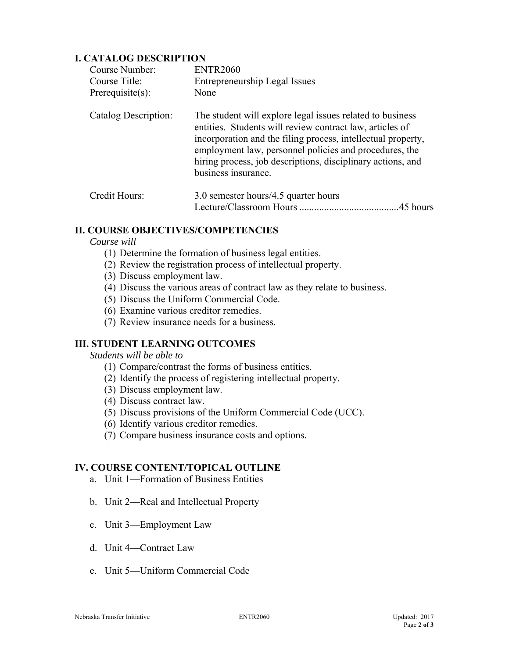# **I. CATALOG DESCRIPTION**

| Course Number:       | <b>ENTR2060</b>                                                                                                                                                                                                                                                                                                                       |
|----------------------|---------------------------------------------------------------------------------------------------------------------------------------------------------------------------------------------------------------------------------------------------------------------------------------------------------------------------------------|
| Course Title:        | Entrepreneurship Legal Issues                                                                                                                                                                                                                                                                                                         |
| Prerequisite $(s)$ : | None                                                                                                                                                                                                                                                                                                                                  |
| Catalog Description: | The student will explore legal issues related to business<br>entities. Students will review contract law, articles of<br>incorporation and the filing process, intellectual property,<br>employment law, personnel policies and procedures, the<br>hiring process, job descriptions, disciplinary actions, and<br>business insurance. |
| Credit Hours:        | 3.0 semester hours/4.5 quarter hours<br>.45 hours                                                                                                                                                                                                                                                                                     |

# **II. COURSE OBJECTIVES/COMPETENCIES**

*Course will*

- (1) Determine the formation of business legal entities.
- (2) Review the registration process of intellectual property.
- (3) Discuss employment law.
- (4) Discuss the various areas of contract law as they relate to business.
- (5) Discuss the Uniform Commercial Code.
- (6) Examine various creditor remedies.
- (7) Review insurance needs for a business.

# **III. STUDENT LEARNING OUTCOMES**

*Students will be able to*

- (1) Compare/contrast the forms of business entities.
- (2) Identify the process of registering intellectual property.
- (3) Discuss employment law.
- (4) Discuss contract law.
- (5) Discuss provisions of the Uniform Commercial Code (UCC).
- (6) Identify various creditor remedies.
- (7) Compare business insurance costs and options.

# **IV. COURSE CONTENT/TOPICAL OUTLINE**

- a. Unit 1—Formation of Business Entities
- b. Unit 2—Real and Intellectual Property
- c. Unit 3—Employment Law
- d. Unit 4—Contract Law
- e. Unit 5—Uniform Commercial Code